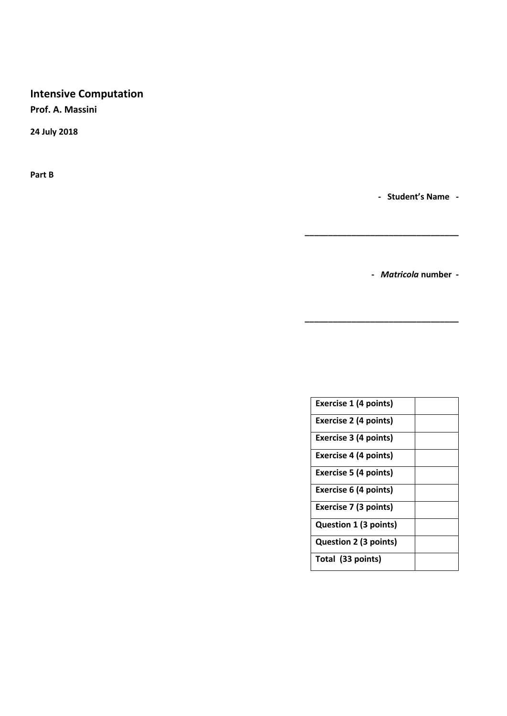# **Intensive Computation**

**Prof. A. Massini** 

**24 July 2018**

**Part B**

**- Student's Name -**

**-** *Matricola* **number -**

**\_\_\_\_\_\_\_\_\_\_\_\_\_\_\_\_\_\_\_\_\_\_\_\_\_\_\_\_\_\_\_\_\_**

**\_\_\_\_\_\_\_\_\_\_\_\_\_\_\_\_\_\_\_\_\_\_\_\_\_\_\_\_\_\_\_\_\_**

| <b>Exercise 1 (4 points)</b> |  |
|------------------------------|--|
| <b>Exercise 2 (4 points)</b> |  |
| Exercise 3 (4 points)        |  |
| <b>Exercise 4 (4 points)</b> |  |
| Exercise 5 (4 points)        |  |
| <b>Exercise 6 (4 points)</b> |  |
| <b>Exercise 7 (3 points)</b> |  |
| <b>Question 1 (3 points)</b> |  |
| Question 2 (3 points)        |  |
| Total (33 points)            |  |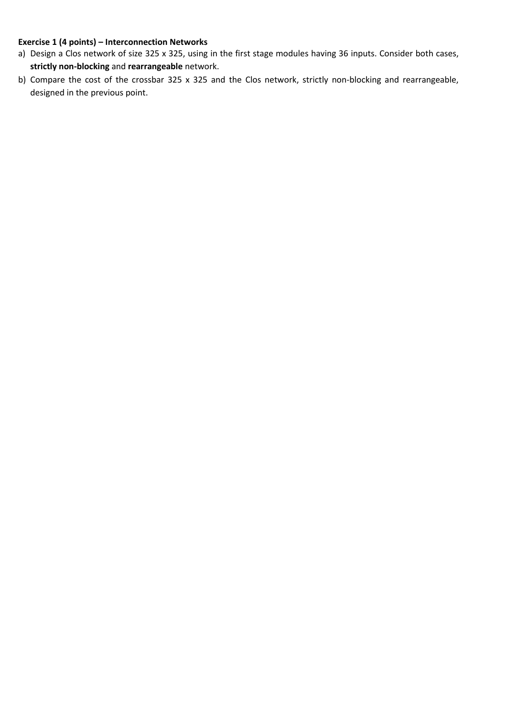#### **Exercise 1 (4 points) – Interconnection Networks**

- a) Design a Clos network of size 325 x 325, using in the first stage modules having 36 inputs. Consider both cases, **strictly non-blocking** and **rearrangeable** network.
- b) Compare the cost of the crossbar 325 x 325 and the Clos network, strictly non-blocking and rearrangeable, designed in the previous point.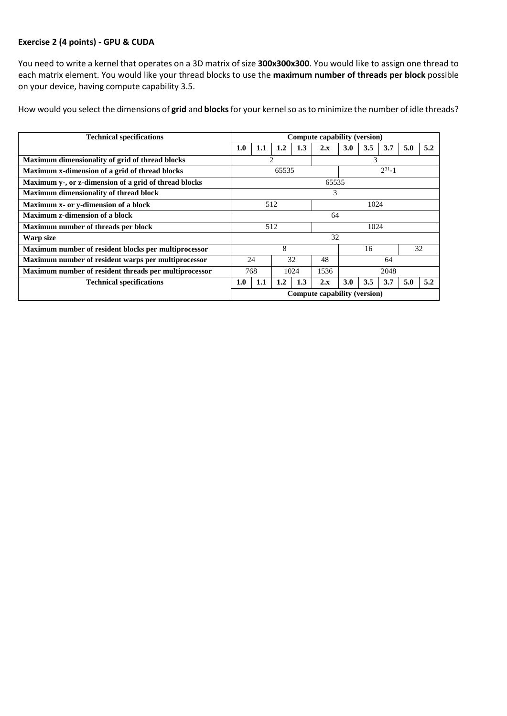## **Exercise 2 (4 points) - GPU & CUDA**

You need to write a kernel that operates on a 3D matrix of size **300x300x300**. You would like to assign one thread to each matrix element. You would like your thread blocks to use the **maximum number of threads per block** possible on your device, having compute capability 3.5.

How would you select the dimensions of **grid** and **blocks**for your kernelso as to minimize the number of idle threads?

| <b>Technical specifications</b>                       |             | Compute capability (version) |         |      |      |            |     |     |     |     |
|-------------------------------------------------------|-------------|------------------------------|---------|------|------|------------|-----|-----|-----|-----|
|                                                       | 1.0         | 1.1                          | $1.2\,$ | 1.3  | 2.x  | <b>3.0</b> | 3.5 | 3.7 | 5.0 | 5.2 |
| Maximum dimensionality of grid of thread blocks       | 2           |                              |         | 3    |      |            |     |     |     |     |
| Maximum x-dimension of a grid of thread blocks        |             | $2^{31} - 1$<br>65535        |         |      |      |            |     |     |     |     |
| Maximum y-, or z-dimension of a grid of thread blocks | 65535       |                              |         |      |      |            |     |     |     |     |
| Maximum dimensionality of thread block                | 3           |                              |         |      |      |            |     |     |     |     |
| Maximum x- or y-dimension of a block                  | 512         |                              |         |      | 1024 |            |     |     |     |     |
| Maximum z-dimension of a block                        | 64          |                              |         |      |      |            |     |     |     |     |
| Maximum number of threads per block                   |             | 512<br>1024                  |         |      |      |            |     |     |     |     |
| Warp size                                             | 32          |                              |         |      |      |            |     |     |     |     |
| Maximum number of resident blocks per multiprocessor  | 8           |                              |         |      | 16   |            |     | 32  |     |     |
| Maximum number of resident warps per multiprocessor   | 32<br>24    |                              | 48      | 64   |      |            |     |     |     |     |
| Maximum number of resident threads per multiprocessor | 768<br>1024 |                              |         | 1536 | 2048 |            |     |     |     |     |
| <b>Technical specifications</b>                       | 1.0         | 1.1                          | 1.2     | 1.3  | 2.x  | <b>3.0</b> | 3.5 | 3.7 | 5.0 | 5.2 |
|                                                       |             | Compute capability (version) |         |      |      |            |     |     |     |     |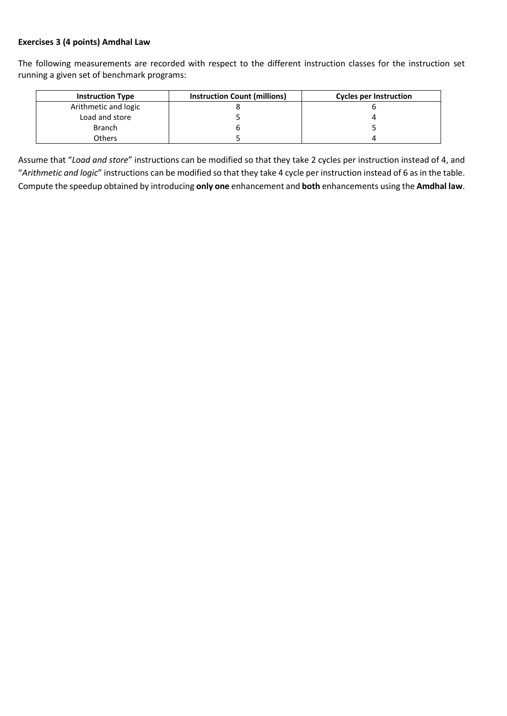## **Exercises 3 (4 points) Amdhal Law**

The following measurements are recorded with respect to the different instruction classes for the instruction set running a given set of benchmark programs:

| <b>Instruction Type</b> | <b>Instruction Count (millions)</b> | <b>Cycles per Instruction</b> |
|-------------------------|-------------------------------------|-------------------------------|
| Arithmetic and logic    |                                     |                               |
| Load and store          |                                     |                               |
| <b>Branch</b>           |                                     |                               |
| Others                  |                                     |                               |

Assume that "*Load and store*" instructions can be modified so that they take 2 cycles per instruction instead of 4, and "*Arithmetic and logic*" instructions can be modified so that they take 4 cycle per instruction instead of 6 as in the table. Compute the speedup obtained by introducing **only one** enhancement and **both** enhancements using the **Amdhal law**.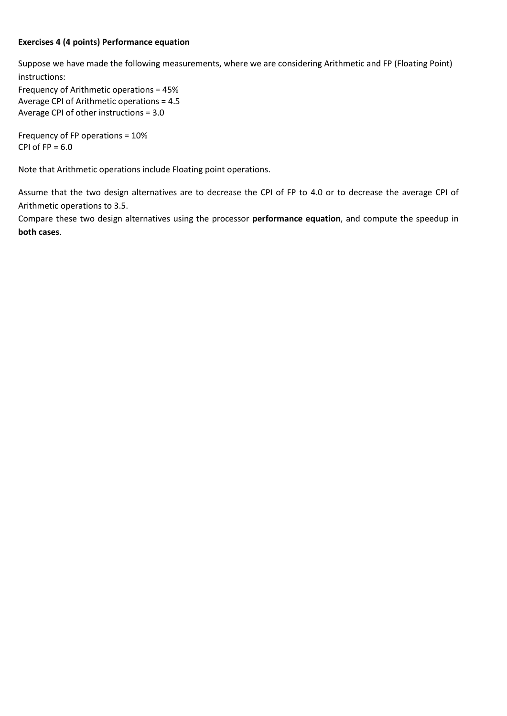#### **Exercises 4 (4 points) Performance equation**

Suppose we have made the following measurements, where we are considering Arithmetic and FP (Floating Point) instructions:

Frequency of Arithmetic operations = 45% Average CPI of Arithmetic operations = 4.5 Average CPI of other instructions = 3.0

Frequency of FP operations = 10% CPI of  $FP = 6.0$ 

Note that Arithmetic operations include Floating point operations.

Assume that the two design alternatives are to decrease the CPI of FP to 4.0 or to decrease the average CPI of Arithmetic operations to 3.5.

Compare these two design alternatives using the processor **performance equation**, and compute the speedup in **both cases**.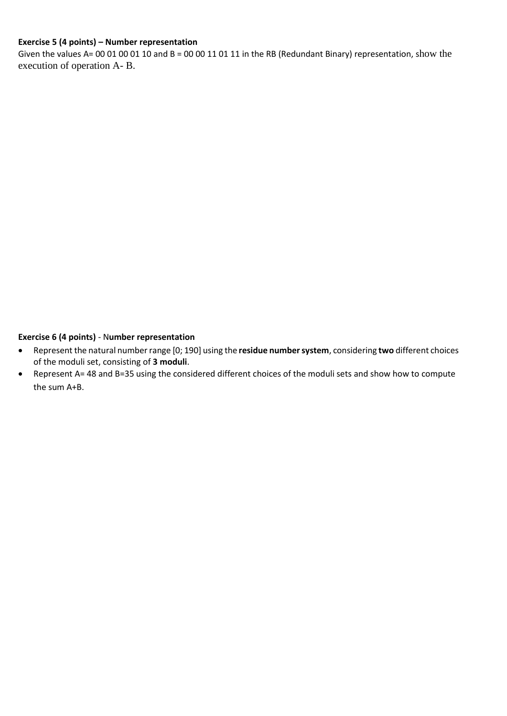## **Exercise 5 (4 points) – Number representation**

Given the values A= 00 01 00 01 10 and B = 00 00 11 01 11 in the RB (Redundant Binary) representation, show the execution of operation A- B.

#### **Exercise 6 (4 points)** - N**umber representation**

- Represent the natural number range [0; 190] using the **residue number system**, considering **two** different choices of the moduli set, consisting of **3 moduli**.
- Represent A= 48 and B=35 using the considered different choices of the moduli sets and show how to compute the sum A+B.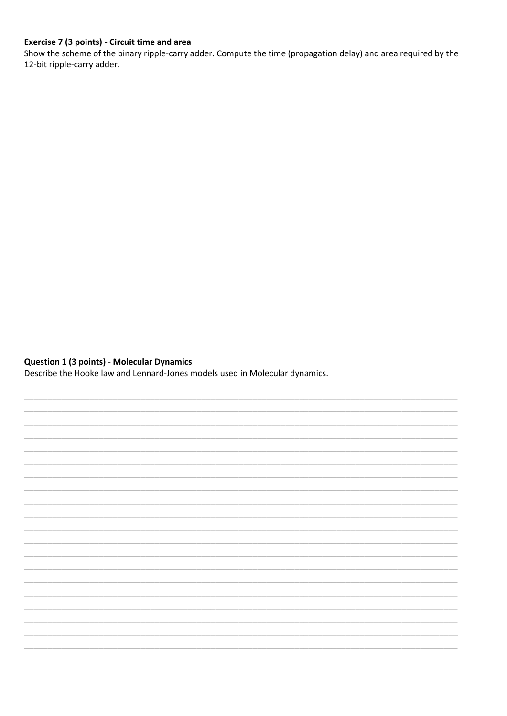## Exercise 7 (3 points) - Circuit time and area

Show the scheme of the binary ripple-carry adder. Compute the time (propagation delay) and area required by the 12-bit ripple-carry adder.

#### **Question 1 (3 points) - Molecular Dynamics**

Describe the Hooke law and Lennard-Jones models used in Molecular dynamics.